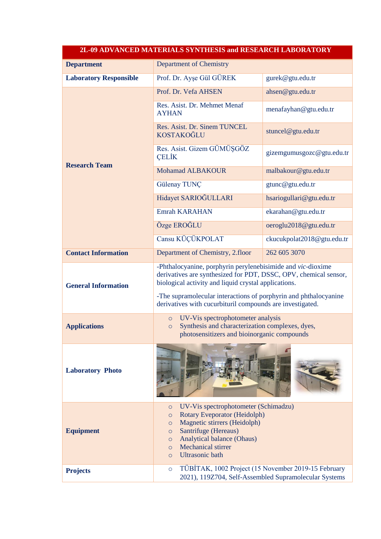| 2L-09 ADVANCED MATERIALS SYNTHESIS and RESEARCH LABORATORY |                                                                                                                                                                                                                                                                                                                          |                            |
|------------------------------------------------------------|--------------------------------------------------------------------------------------------------------------------------------------------------------------------------------------------------------------------------------------------------------------------------------------------------------------------------|----------------------------|
| <b>Department</b>                                          | <b>Department of Chemistry</b>                                                                                                                                                                                                                                                                                           |                            |
| <b>Laboratory Responsible</b>                              | Prof. Dr. Ayse Gül GÜREK                                                                                                                                                                                                                                                                                                 | gurek@gtu.edu.tr           |
| <b>Research Team</b>                                       | Prof. Dr. Vefa AHSEN                                                                                                                                                                                                                                                                                                     | ahsen@gtu.edu.tr           |
|                                                            | Res. Asist. Dr. Mehmet Menaf<br><b>AYHAN</b>                                                                                                                                                                                                                                                                             | menafayhan@gtu.edu.tr      |
|                                                            | Res. Asist. Dr. Sinem TUNCEL<br><b>KOSTAKOĞLU</b>                                                                                                                                                                                                                                                                        | stuncel@gtu.edu.tr         |
|                                                            | Res. Asist. Gizem GÜMÜŞGÖZ<br><b>CELIK</b>                                                                                                                                                                                                                                                                               | gizemgumusgozc@gtu.edu.tr  |
|                                                            | Mohamad ALBAKOUR                                                                                                                                                                                                                                                                                                         | malbakour@gtu.edu.tr       |
|                                                            | Gülenay TUNÇ                                                                                                                                                                                                                                                                                                             | gtunc@gtu.edu.tr           |
|                                                            | Hidayet SARIOĞULLARI                                                                                                                                                                                                                                                                                                     | hsariogullari@gtu.edu.tr   |
|                                                            | <b>Emrah KARAHAN</b>                                                                                                                                                                                                                                                                                                     | ekarahan@gtu.edu.tr        |
|                                                            | Özge EROĞLU                                                                                                                                                                                                                                                                                                              | oeroglu2018@gtu.edu.tr     |
|                                                            | Cansu KÜÇÜKPOLAT                                                                                                                                                                                                                                                                                                         | ckucukpolat2018@gtu.edu.tr |
| <b>Contact Information</b>                                 | Department of Chemistry, 2.floor                                                                                                                                                                                                                                                                                         | 262 605 3070               |
| <b>General Information</b>                                 | -Phthalocyanine, porphyrin perylenebisimide and vic-dioxime<br>derivatives are synthesized for PDT, DSSC, OPV, chemical sensor,<br>biological activity and liquid crystal applications.<br>-The supramolecular interactions of porphyrin and phthalocyanine<br>derivatives with cucurbituril compounds are investigated. |                            |
| <b>Applications</b>                                        | UV-Vis spectrophotometer analysis<br>$\circ$<br>Synthesis and characterization complexes, dyes,<br>$\circ$<br>photosensitizers and bioinorganic compounds                                                                                                                                                                |                            |
| <b>Laboratory Photo</b>                                    |                                                                                                                                                                                                                                                                                                                          |                            |
| <b>Equipment</b>                                           | UV-Vis spectrophotometer (Schimadzu)<br>$\circ$<br>Rotary Eveporator (Heidolph)<br>$\circ$<br>Magnetic stirrers (Heidolph)<br>$\circ$<br>Santrifuge (Hereaus)<br>$\circ$<br>Analytical balance (Ohaus)<br>$\circ$<br><b>Mechanical stirrer</b><br>$\circ$<br><b>Ultrasonic</b> bath<br>$\circ$                           |                            |
| <b>Projects</b>                                            | TÜBİTAK, 1002 Project (15 November 2019-15 February<br>$\circ$<br>2021), 119Z704, Self-Assembled Supramolecular Systems                                                                                                                                                                                                  |                            |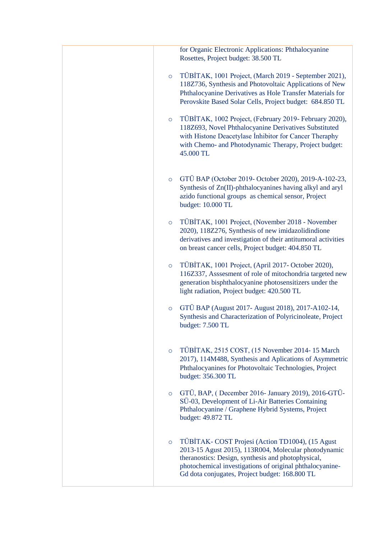| for Organic Electronic Applications: Phthalocyanine<br>Rosettes, Project budget: 38.500 TL                                                                                                                                                                                             |
|----------------------------------------------------------------------------------------------------------------------------------------------------------------------------------------------------------------------------------------------------------------------------------------|
| TÜBİTAK, 1001 Project, (March 2019 - September 2021),<br>$\circ$<br>118Z736, Synthesis and Photovoltaic Applications of New<br>Phthalocyanine Derivatives as Hole Transfer Materials for<br>Perovskite Based Solar Cells, Project budget: 684.850 TL                                   |
| TÜBİTAK, 1002 Project, (February 2019- February 2020),<br>$\circ$<br>118Z693, Novel Phthalocyanine Derivatives Substituted<br>with Histone Deacetylase Inhibitor for Cancer Theraphy<br>with Chemo- and Photodynamic Therapy, Project budget:<br>45.000 TL                             |
| GTÜ BAP (October 2019- October 2020), 2019-A-102-23,<br>$\circ$<br>Synthesis of Zn(II)-phthalocyanines having alkyl and aryl<br>azido functional groups as chemical sensor, Project<br>budget: 10.000 TL                                                                               |
| TÜBİTAK, 1001 Project, (November 2018 - November<br>$\circ$<br>2020), 118Z276, Synthesis of new imidazolidindione<br>derivatives and investigation of their antitumoral activities<br>on breast cancer cells, Project budget: 404.850 TL                                               |
| TÜBİTAK, 1001 Project, (April 2017- October 2020),<br>$\circ$<br>116Z337, Asssesment of role of mitochondria targeted new<br>generation bisphthalocyanine photosensitizers under the<br>light radiation, Project budget: 420.500 TL                                                    |
| GTÜ BAP (August 2017- August 2018), 2017-A102-14,<br>$\circ$<br>Synthesis and Characterization of Polyricinoleate, Project<br>budget: 7.500 TL                                                                                                                                         |
| TÜBİTAK, 2515 COST, (15 November 2014-15 March<br>$\circ$<br>2017), 114M488, Synthesis and Aplications of Asymmetric<br>Phthalocyanines for Photovoltaic Technologies, Project<br>budget: 356.300 TL                                                                                   |
| GTÜ, BAP, (December 2016- January 2019), 2016-GTÜ-<br>$\circ$<br>SÜ-03, Development of Li-Air Batteries Containing<br>Phthalocyanine / Graphene Hybrid Systems, Project<br>budget: 49.872 TL                                                                                           |
| TÜBİTAK-COST Projesi (Action TD1004), (15 Agust<br>$\circ$<br>2013-15 Agust 2015), 113R004, Molecular photodynamic<br>theranostics: Design, synthesis and photophysical,<br>photochemical investigations of original phthalocyanine-<br>Gd dota conjugates, Project budget: 168.800 TL |